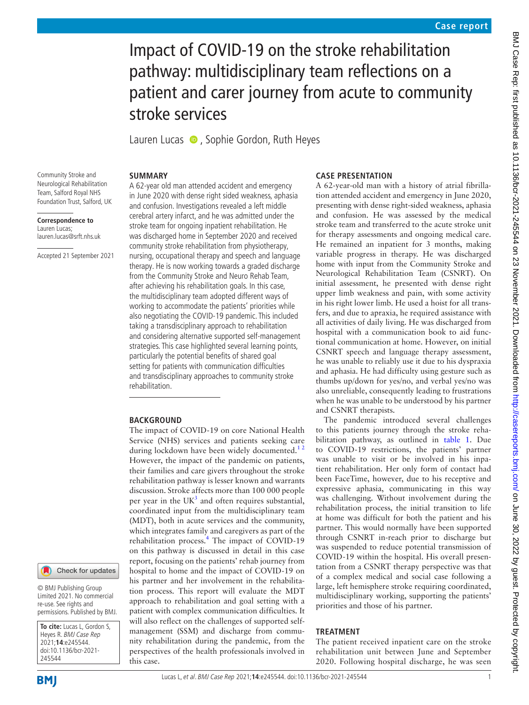# Impact of COVID-19 on the stroke rehabilitation pathway: multidisciplinary team reflections on a patient and carer journey from acute to community stroke services

LaurenLucas  $\bullet$ , Sophie Gordon, Ruth Heyes

# **SUMMARY**

Community Stroke and Neurological Rehabilitation Team, Salford Royal NHS Foundation Trust, Salford, UK

**Correspondence to** Lauren Lucas; lauren.lucas@srft.nhs.uk

Accepted 21 September 2021

A 62-year old man attended accident and emergency in June 2020 with dense right sided weakness, aphasia and confusion. Investigations revealed a left middle cerebral artery infarct, and he was admitted under the stroke team for ongoing inpatient rehabilitation. He was discharged home in September 2020 and received community stroke rehabilitation from physiotherapy, nursing, occupational therapy and speech and language therapy. He is now working towards a graded discharge from the Community Stroke and Neuro Rehab Team, after achieving his rehabilitation goals. In this case, the multidisciplinary team adopted different ways of working to accommodate the patients' priorities while also negotiating the COVID-19 pandemic. This included taking a transdisciplinary approach to rehabilitation and considering alternative supported self-management strategies. This case highlighted several learning points, particularly the potential benefits of shared goal setting for patients with communication difficulties and transdisciplinary approaches to community stroke rehabilitation.

## **BACKGROUND**

The impact of COVID-19 on core National Health Service (NHS) services and patients seeking care during lockdown have been widely documented.<sup>12</sup> However, the impact of the pandemic on patients, their families and care givers throughout the stroke rehabilitation pathway is lesser known and warrants discussion. Stroke affects more than 100 000 people per year in the UK<sup>[3](#page-4-1)</sup> and often requires substantial, coordinated input from the multidisciplinary team (MDT), both in acute services and the community, which integrates family and caregivers as part of the rehabilitation process.<sup>[4](#page-4-2)</sup> The impact of COVID-19 on this pathway is discussed in detail in this case report, focusing on the patients' rehab journey from hospital to home and the impact of COVID-19 on his partner and her involvement in the rehabilitation process. This report will evaluate the MDT approach to rehabilitation and goal setting with a patient with complex communication difficulties. It will also reflect on the challenges of supported selfmanagement (SSM) and discharge from community rehabilitation during the pandemic, from the perspectives of the health professionals involved in this case.

## **CASE PRESENTATION**

A 62-year-old man with a history of atrial fibrillation attended accident and emergency in June 2020, presenting with dense right-sided weakness, aphasia and confusion. He was assessed by the medical stroke team and transferred to the acute stroke unit for therapy assessments and ongoing medical care. He remained an inpatient for 3 months, making variable progress in therapy. He was discharged home with input from the Community Stroke and Neurological Rehabilitation Team (CSNRT). On initial assessment, he presented with dense right upper limb weakness and pain, with some activity in his right lower limb. He used a hoist for all transfers, and due to apraxia, he required assistance with all activities of daily living. He was discharged from hospital with a communication book to aid functional communication at home. However, on initial CSNRT speech and language therapy assessment, he was unable to reliably use it due to his dyspraxia and aphasia. He had difficulty using gesture such as thumbs up/down for yes/no, and verbal yes/no was also unreliable, consequently leading to frustrations when he was unable to be understood by his partner and CSNRT therapists.

The pandemic introduced several challenges to this patients journey through the stroke rehabilitation pathway, as outlined in [table](#page-1-0) 1. Due to COVID-19 restrictions, the patients' partner was unable to visit or be involved in his inpatient rehabilitation. Her only form of contact had been FaceTime, however, due to his receptive and expressive aphasia, communicating in this way was challenging. Without involvement during the rehabilitation process, the initial transition to life at home was difficult for both the patient and his partner. This would normally have been supported through CSNRT in-reach prior to discharge but was suspended to reduce potential transmission of COVID-19 within the hospital. His overall presentation from a CSNRT therapy perspective was that of a complex medical and social case following a large, left hemisphere stroke requiring coordinated, multidisciplinary working, supporting the patients' priorities and those of his partner.

# **TREATMENT**

The patient received inpatient care on the stroke rehabilitation unit between June and September 2020. Following hospital discharge, he was seen

#### Check for updates

© BMJ Publishing Group Limited 2021. No commercial re-use. See rights and permissions. Published by BMJ.

**To cite:** Lucas L, Gordon S, Heyes R. BMJ Case Rep 2021;**14**:e245544. doi:10.1136/bcr-2021- 245544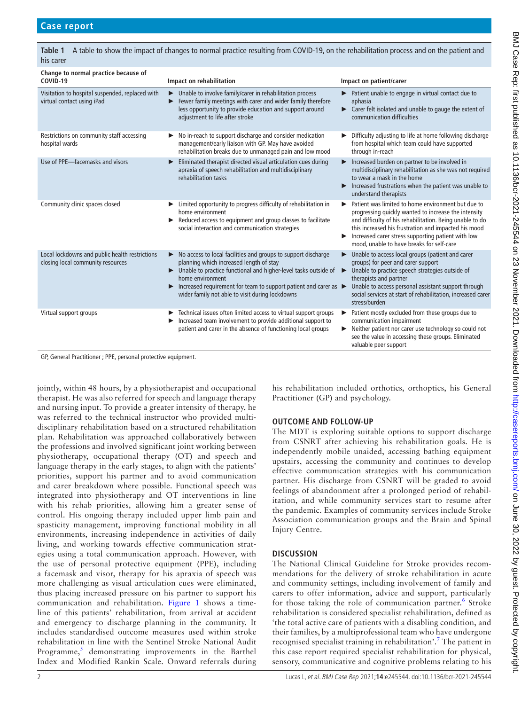<span id="page-1-0"></span>

| Change to normal practice because of<br>COVID-19                                    | Impact on rehabilitation                                                                                                                                                                                                                                                                                                 | Impact on patient/carer                                                                                                                                                                                                                                                                                                                  |
|-------------------------------------------------------------------------------------|--------------------------------------------------------------------------------------------------------------------------------------------------------------------------------------------------------------------------------------------------------------------------------------------------------------------------|------------------------------------------------------------------------------------------------------------------------------------------------------------------------------------------------------------------------------------------------------------------------------------------------------------------------------------------|
| Visitation to hospital suspended, replaced with<br>virtual contact using iPad       | • Unable to involve family/carer in rehabilitation process<br>Fewer family meetings with carer and wider family therefore<br>less opportunity to provide education and support around<br>adjustment to life after stroke                                                                                                 | Patient unable to engage in virtual contact due to<br>aphasia<br>Example 2 Carer felt isolated and unable to gauge the extent of<br>communication difficulties                                                                                                                                                                           |
| Restrictions on community staff accessing<br>hospital wards                         | No in-reach to support discharge and consider medication<br>▶<br>management/early liaison with GP. May have avoided<br>rehabilitation breaks due to unmanaged pain and low mood                                                                                                                                          | Difficulty adjusting to life at home following discharge<br>from hospital which team could have supported<br>through in-reach                                                                                                                                                                                                            |
| Use of PPE-facemasks and visors                                                     | Eliminated therapist directed visual articulation cues during<br>▶<br>apraxia of speech rehabilitation and multidisciplinary<br>rehabilitation tasks                                                                                                                                                                     | Increased burden on partner to be involved in<br>▶<br>multidisciplinary rehabilitation as she was not required<br>to wear a mask in the home<br>Increased frustrations when the patient was unable to<br>▶<br>understand therapists                                                                                                      |
| Community clinic spaces closed                                                      | Elmited opportunity to progress difficulty of rehabilitation in<br>home environment<br>Reduced access to equipment and group classes to facilitate<br>social interaction and communication strategies                                                                                                                    | Patient was limited to home environment but due to<br>▶<br>progressing quickly wanted to increase the intensity<br>and difficulty of his rehabilitation. Being unable to do<br>this increased his frustration and impacted his mood<br>Increased carer stress supporting patient with low<br>mood, unable to have breaks for self-care   |
| Local lockdowns and public health restrictions<br>closing local community resources | No access to local facilities and groups to support discharge<br>planning which increased length of stay<br>• Unable to practice functional and higher-level tasks outside of<br>home environment<br>Increased requirement for team to support patient and carer as ><br>wider family not able to visit during lockdowns | Unable to access local groups (patient and carer<br>▶<br>groups) for peer and carer support<br>Unable to practice speech strategies outside of<br>$\blacktriangleright$<br>therapists and partner<br>Unable to access personal assistant support through<br>social services at start of rehabilitation, increased carer<br>stress/burden |
| Virtual support groups                                                              | Technical issues often limited access to virtual support groups<br>Increased team involvement to provide additional support to<br>patient and carer in the absence of functioning local groups                                                                                                                           | Patient mostly excluded from these groups due to<br>communication impairment<br>Neither patient nor carer use technology so could not<br>see the value in accessing these groups. Eliminated<br>valuable peer support                                                                                                                    |

GP, General Practitioner ; PPE, personal protective equipment.

jointly, within 48 hours, by a physiotherapist and occupational therapist. He was also referred for speech and language therapy and nursing input. To provide a greater intensity of therapy, he was referred to the technical instructor who provided multidisciplinary rehabilitation based on a structured rehabilitation plan. Rehabilitation was approached collaboratively between the professions and involved significant joint working between physiotherapy, occupational therapy (OT) and speech and language therapy in the early stages, to align with the patients' priorities, support his partner and to avoid communication and carer breakdown where possible. Functional speech was integrated into physiotherapy and OT interventions in line with his rehab priorities, allowing him a greater sense of control. His ongoing therapy included upper limb pain and spasticity management, improving functional mobility in all environments, increasing independence in activities of daily living, and working towards effective communication strategies using a total communication approach. However, with the use of personal protective equipment (PPE), including a facemask and visor, therapy for his apraxia of speech was more challenging as visual articulation cues were eliminated, thus placing increased pressure on his partner to support his communication and rehabilitation. [Figure](#page-2-0) 1 shows a timeline of this patients' rehabilitation, from arrival at accident and emergency to discharge planning in the community. It includes standardised outcome measures used within stroke rehabilitation in line with the Sentinel Stroke National Audit Programme,<sup>[5](#page-4-3)</sup> demonstrating improvements in the Barthel Index and Modified Rankin Scale. Onward referrals during

his rehabilitation included orthotics, orthoptics, his General Practitioner (GP) and psychology.

# **OUTCOME AND FOLLOW-UP**

The MDT is exploring suitable options to support discharge from CSNRT after achieving his rehabilitation goals. He is independently mobile unaided, accessing bathing equipment upstairs, accessing the community and continues to develop effective communication strategies with his communication partner. His discharge from CSNRT will be graded to avoid feelings of abandonment after a prolonged period of rehabilitation, and while community services start to resume after the pandemic. Examples of community services include Stroke Association communication groups and the Brain and Spinal Injury Centre.

# **DISCUSSION**

The National Clinical Guideline for Stroke provides recommendations for the delivery of stroke rehabilitation in acute and community settings, including involvement of family and carers to offer information, advice and support, particularly for those taking the role of communication partner.<sup>[6](#page-4-4)</sup> Stroke rehabilitation is considered specialist rehabilitation, defined as 'the total active care of patients with a disabling condition, and their families, by a multiprofessional team who have undergone recognised specialist training in rehabilitation'.<sup>[7](#page-4-5)</sup> The patient in this case report required specialist rehabilitation for physical, sensory, communicative and cognitive problems relating to his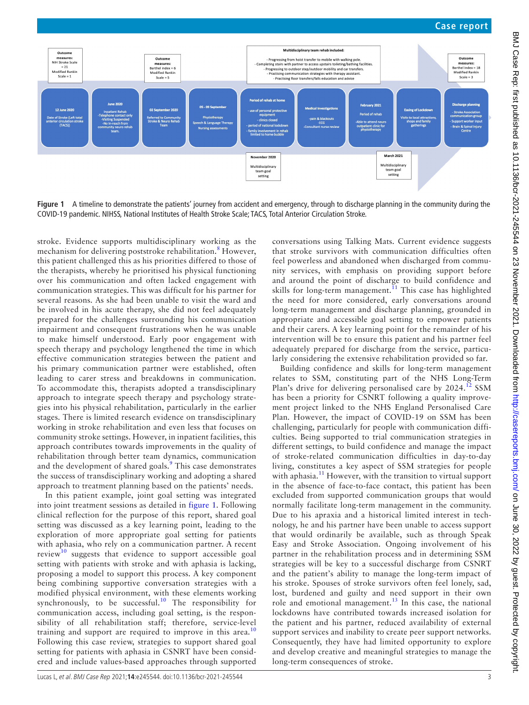

<span id="page-2-0"></span>**Figure 1** A timeline to demonstrate the patients' journey from accident and emergency, through to discharge planning in the community during the COVID-19 pandemic. NIHSS, National Institutes of Health Stroke Scale; TACS, Total Anterior Circulation Stroke.

stroke. Evidence supports multidisciplinary working as the mechanism for delivering poststroke rehabilitation.<sup>[8](#page-5-0)</sup> However, this patient challenged this as his priorities differed to those of the therapists, whereby he prioritised his physical functioning over his communication and often lacked engagement with communication strategies. This was difficult for his partner for several reasons. As she had been unable to visit the ward and be involved in his acute therapy, she did not feel adequately prepared for the challenges surrounding his communication impairment and consequent frustrations when he was unable to make himself understood. Early poor engagement with speech therapy and psychology lengthened the time in which effective communication strategies between the patient and his primary communication partner were established, often leading to carer stress and breakdowns in communication. To accommodate this, therapists adopted a transdisciplinary approach to integrate speech therapy and psychology strategies into his physical rehabilitation, particularly in the earlier stages. There is limited research evidence on transdisciplinary working in stroke rehabilitation and even less that focuses on community stroke settings. However, in inpatient facilities, this approach contributes towards improvements in the quality of rehabilitation through better team dynamics, communication and the development of shared goals.<sup>[9](#page-5-1)</sup> This case demonstrates the success of transdisciplinary working and adopting a shared approach to treatment planning based on the patients' needs.

In this patient example, joint goal setting was integrated into joint treatment sessions as detailed in [figure](#page-2-0) 1. Following clinical reflection for the purpose of this report, shared goal setting was discussed as a key learning point, leading to the exploration of more appropriate goal setting for patients with aphasia, who rely on a communication partner. A recent review<sup>[10](#page-5-2)</sup> suggests that evidence to support accessible goal setting with patients with stroke and with aphasia is lacking, proposing a model to support this process. A key component being combining supportive conversation strategies with a modified physical environment, with these elements working synchronously, to be successful.<sup>[10](#page-5-2)</sup> The responsibility for communication access, including goal setting, is the responsibility of all rehabilitation staff; therefore, service-level training and support are required to improve in this area.<sup>[10](#page-5-2)</sup> Following this case review, strategies to support shared goal setting for patients with aphasia in CSNRT have been considered and include values-based approaches through supported

conversations using Talking Mats. Current evidence suggests that stroke survivors with communication difficulties often feel powerless and abandoned when discharged from community services, with emphasis on providing support before and around the point of discharge to build confidence and skills for long-term management.<sup>11</sup> This case has highlighted the need for more considered, early conversations around long-term management and discharge planning, grounded in appropriate and accessible goal setting to empower patients and their carers. A key learning point for the remainder of his intervention will be to ensure this patient and his partner feel adequately prepared for discharge from the service, particularly considering the extensive rehabilitation provided so far.

Building confidence and skills for long-term management relates to SSM, constituting part of the NHS Long-Term Plan's drive for delivering personalised care by  $2024<sup>12</sup>$  SSM has been a priority for CSNRT following a quality improvement project linked to the NHS England Personalised Care Plan. However, the impact of COVID-19 on SSM has been challenging, particularly for people with communication difficulties. Being supported to trial communication strategies in different settings, to build confidence and manage the impact of stroke-related communication difficulties in day-to-day living, constitutes a key aspect of SSM strategies for people with aphasia.<sup>11</sup> However, with the transition to virtual support in the absence of face-to-face contact, this patient has been excluded from supported communication groups that would normally facilitate long-term management in the community. Due to his apraxia and a historical limited interest in technology, he and his partner have been unable to access support that would ordinarily be available, such as through Speak Easy and Stroke Association. Ongoing involvement of his partner in the rehabilitation process and in determining SSM strategies will be key to a successful discharge from CSNRT and the patient's ability to manage the long-term impact of his stroke. Spouses of stroke survivors often feel lonely, sad, lost, burdened and guilty and need support in their own role and emotional management.<sup>[13](#page-5-5)</sup> In this case, the national lockdowns have contributed towards increased isolation for the patient and his partner, reduced availability of external support services and inability to create peer support networks. Consequently, they have had limited opportunity to explore and develop creative and meaningful strategies to manage the long-term consequences of stroke.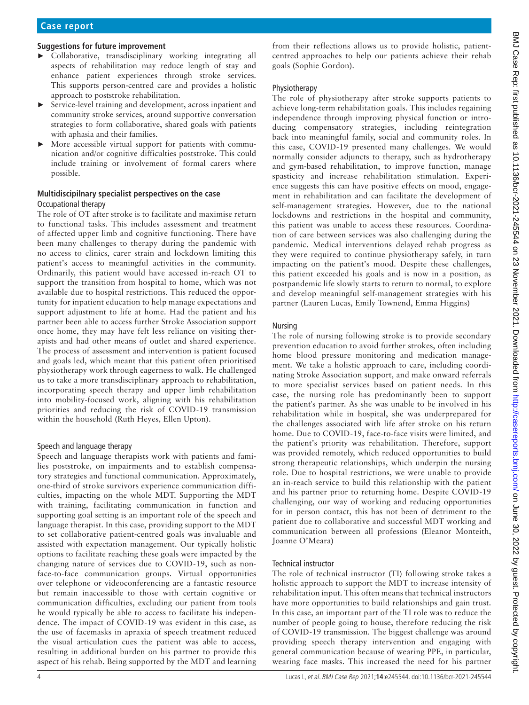## **Suggestions for future improvement**

- ► Collaborative, transdisciplinary working integrating all aspects of rehabilitation may reduce length of stay and enhance patient experiences through stroke services. This supports person-centred care and provides a holistic approach to poststroke rehabilitation.
- Service-level training and development, across inpatient and community stroke services, around supportive conversation strategies to form collaborative, shared goals with patients with aphasia and their families.
- ► More accessible virtual support for patients with communication and/or cognitive difficulties poststroke. This could include training or involvement of formal carers where possible.

## **Multidiscipilnary specialist perspectives on the case** Occupational therapy

The role of OT after stroke is to facilitate and maximise return to functional tasks. This includes assessment and treatment of affected upper limb and cognitive functioning. There have been many challenges to therapy during the pandemic with no access to clinics, carer strain and lockdown limiting this patient's access to meaningful activities in the community. Ordinarily, this patient would have accessed in-reach OT to support the transition from hospital to home, which was not available due to hospital restrictions. This reduced the opportunity for inpatient education to help manage expectations and support adjustment to life at home. Had the patient and his partner been able to access further Stroke Association support once home, they may have felt less reliance on visiting therapists and had other means of outlet and shared experience. The process of assessment and intervention is patient focused and goals led, which meant that this patient often prioritised physiotherapy work through eagerness to walk. He challenged us to take a more transdisciplinary approach to rehabilitation, incorporating speech therapy and upper limb rehabilitation into mobility-focused work, aligning with his rehabilitation priorities and reducing the risk of COVID-19 transmission within the household (Ruth Heyes, Ellen Upton).

#### Speech and language therapy

Speech and language therapists work with patients and families poststroke, on impairments and to establish compensatory strategies and functional communication. Approximately, one-third of stroke survivors experience communication difficulties, impacting on the whole MDT. Supporting the MDT with training, facilitating communication in function and supporting goal setting is an important role of the speech and language therapist. In this case, providing support to the MDT to set collaborative patient-centred goals was invaluable and assisted with expectation management. Our typically holistic options to facilitate reaching these goals were impacted by the changing nature of services due to COVID-19, such as nonface-to-face communication groups. Virtual opportunities over telephone or videoconferencing are a fantastic resource but remain inaccessible to those with certain cognitive or communication difficulties, excluding our patient from tools he would typically be able to access to facilitate his independence. The impact of COVID-19 was evident in this case, as the use of facemasks in apraxia of speech treatment reduced the visual articulation cues the patient was able to access, resulting in additional burden on his partner to provide this aspect of his rehab. Being supported by the MDT and learning

from their reflections allows us to provide holistic, patientcentred approaches to help our patients achieve their rehab goals (Sophie Gordon).

## Physiotherapy

The role of physiotherapy after stroke supports patients to achieve long-term rehabilitation goals. This includes regaining independence through improving physical function or introducing compensatory strategies, including reintegration back into meaningful family, social and community roles. In this case, COVID-19 presented many challenges. We would normally consider adjuncts to therapy, such as hydrotherapy and gym-based rehabilitation, to improve function, manage spasticity and increase rehabilitation stimulation. Experience suggests this can have positive effects on mood, engagement in rehabilitation and can facilitate the development of self-management strategies. However, due to the national lockdowns and restrictions in the hospital and community, this patient was unable to access these resources. Coordination of care between services was also challenging during the pandemic. Medical interventions delayed rehab progress as they were required to continue physiotherapy safely, in turn impacting on the patient's mood. Despite these challenges, this patient exceeded his goals and is now in a position, as postpandemic life slowly starts to return to normal, to explore and develop meaningful self-management strategies with his partner (Lauren Lucas, Emily Townend, Emma Higgins)

## Nursing

The role of nursing following stroke is to provide secondary prevention education to avoid further strokes, often including home blood pressure monitoring and medication management. We take a holistic approach to care, including coordinating Stroke Association support, and make onward referrals to more specialist services based on patient needs. In this case, the nursing role has predominantly been to support the patient's partner. As she was unable to be involved in his rehabilitation while in hospital, she was underprepared for the challenges associated with life after stroke on his return home. Due to COVID-19, face-to-face visits were limited, and the patient's priority was rehabilitation. Therefore, support was provided remotely, which reduced opportunities to build strong therapeutic relationships, which underpin the nursing role. Due to hospital restrictions, we were unable to provide an in-reach service to build this relationship with the patient and his partner prior to returning home. Despite COVID-19 challenging, our way of working and reducing opportunities for in person contact, this has not been of detriment to the patient due to collaborative and successful MDT working and communication between all professions (Eleanor Monteith, Joanne O'Meara)

#### Technical instructor

The role of technical instructor (TI) following stroke takes a holistic approach to support the MDT to increase intensity of rehabilitation input. This often means that technical instructors have more opportunities to build relationships and gain trust. In this case, an important part of the TI role was to reduce the number of people going to house, therefore reducing the risk of COVID-19 transmission. The biggest challenge was around providing speech therapy intervention and engaging with general communication because of wearing PPE, in particular, wearing face masks. This increased the need for his partner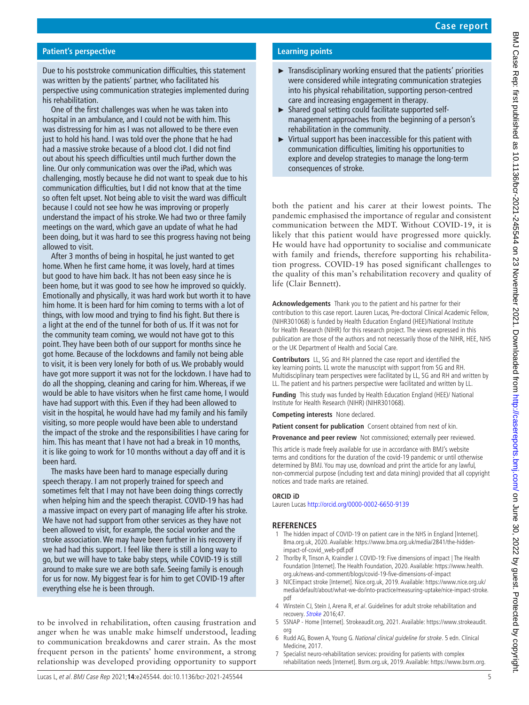# **Patient's perspective**

Due to his poststroke communication difficulties, this statement was written by the patients' partner, who facilitated his perspective using communication strategies implemented during his rehabilitation.

One of the first challenges was when he was taken into hospital in an ambulance, and I could not be with him. This was distressing for him as I was not allowed to be there even just to hold his hand. I was told over the phone that he had had a massive stroke because of a blood clot. I did not find out about his speech difficulties until much further down the line. Our only communication was over the iPad, which was challenging, mostly because he did not want to speak due to his communication difficulties, but I did not know that at the time so often felt upset. Not being able to visit the ward was difficult because I could not see how he was improving or properly understand the impact of his stroke. We had two or three family meetings on the ward, which gave an update of what he had been doing, but it was hard to see this progress having not being allowed to visit.

After 3 months of being in hospital, he just wanted to get home. When he first came home, it was lovely, hard at times but good to have him back. It has not been easy since he is been home, but it was good to see how he improved so quickly. Emotionally and physically, it was hard work but worth it to have him home. It is been hard for him coming to terms with a lot of things, with low mood and trying to find his fight. But there is a light at the end of the tunnel for both of us. If it was not for the community team coming, we would not have got to this point. They have been both of our support for months since he got home. Because of the lockdowns and family not being able to visit, it is been very lonely for both of us. We probably would have got more support it was not for the lockdown. I have had to do all the shopping, cleaning and caring for him. Whereas, if we would be able to have visitors when he first came home, I would have had support with this. Even if they had been allowed to visit in the hospital, he would have had my family and his family visiting, so more people would have been able to understand the impact of the stroke and the responsibilities I have caring for him. This has meant that I have not had a break in 10 months, it is like going to work for 10 months without a day off and it is been hard.

The masks have been hard to manage especially during speech therapy. I am not properly trained for speech and sometimes felt that I may not have been doing things correctly when helping him and the speech therapist. COVID-19 has had a massive impact on every part of managing life after his stroke. We have not had support from other services as they have not been allowed to visit, for example, the social worker and the stroke association. We may have been further in his recovery if we had had this support. I feel like there is still a long way to go, but we will have to take baby steps, while COVID-19 is still around to make sure we are both safe. Seeing family is enough for us for now. My biggest fear is for him to get COVID-19 after everything else he is been through.

to be involved in rehabilitation, often causing frustration and anger when he was unable make himself understood, leading to communication breakdowns and carer strain. As the most frequent person in the patients' home environment, a strong relationship was developed providing opportunity to support

# **Learning points**

- ► Transdisciplinary working ensured that the patients' priorities were considered while integrating communication strategies into his physical rehabilitation, supporting person-centred care and increasing engagement in therapy.
- ► Shared goal setting could facilitate supported selfmanagement approaches from the beginning of a person's rehabilitation in the community.
- $\triangleright$  Virtual support has been inaccessible for this patient with communication difficulties, limiting his opportunities to explore and develop strategies to manage the long-term consequences of stroke.

both the patient and his carer at their lowest points. The pandemic emphasised the importance of regular and consistent communication between the MDT. Without COVID-19, it is likely that this patient would have progressed more quickly. He would have had opportunity to socialise and communicate with family and friends, therefore supporting his rehabilitation progress. COVID-19 has posed significant challenges to the quality of this man's rehabilitation recovery and quality of life (Clair Bennett).

**Acknowledgements** Thank you to the patient and his partner for their contribution to this case report. Lauren Lucas, Pre-doctoral Clinical Academic Fellow, (NIHR301068) is funded by Health Education England (HEE)/National Institute for Health Research (NIHR) for this research project. The views expressed in this publication are those of the authors and not necessarily those of the NIHR, HEE, NHS or the UK Department of Health and Social Care.

**Contributors** LL, SG and RH planned the case report and identified the key learning points. LL wrote the manuscript with support from SG and RH. Multidisciplinary team perspectives were facilitated by LL, SG and RH and written by LL. The patient and his partners perspective were facilitated and written by LL.

**Funding** This study was funded by Health Education England (HEE)/ National Institute for Health Research (NIHR) (NIHR301068).

**Competing interests** None declared.

Patient consent for publication Consent obtained from next of kin.

**Provenance and peer review** Not commissioned; externally peer reviewed.

This article is made freely available for use in accordance with BMJ's website terms and conditions for the duration of the covid-19 pandemic or until otherwise determined by BMJ. You may use, download and print the article for any lawful, non-commercial purpose (including text and data mining) provided that all copyright notices and trade marks are retained.

## **ORCID iD**

Lauren Lucas<http://orcid.org/0000-0002-6650-9139>

# **REFERENCES**

- <span id="page-4-0"></span>1 The hidden impact of COVID-19 on patient care in the NHS in England [Internet]. Bma.org.uk, 2020. Available: [https://www.bma.org.uk/media/2841/the-hidden](https://www.bma.org.uk/media/2841/the-hidden-impact-of-covid_web-pdf.pdf)[impact-of-covid\\_web-pdf.pdf](https://www.bma.org.uk/media/2841/the-hidden-impact-of-covid_web-pdf.pdf)
- 2 Thorlby R, Tinson A, Kraindler J. COVID-19: Five dimensions of impact | The Health Foundation [Internet]. The Health Foundation, 2020. Available: [https://www.health.](https://www.health.org.uk/news-and-comment/blogs/covid-19-five-dimensions-of-impact) [org.uk/news-and-comment/blogs/covid-19-five-dimensions-of-impact](https://www.health.org.uk/news-and-comment/blogs/covid-19-five-dimensions-of-impact)
- <span id="page-4-1"></span>3 NICEimpact stroke [Internet]. Nice.org.uk, 2019. Available: [https://www.nice.org.uk/](https://www.nice.org.uk/media/default/about/what-we-do/into-practice/measuring-uptake/nice-impact-stroke.pdf) [media/default/about/what-we-do/into-practice/measuring-uptake/nice-impact-stroke.](https://www.nice.org.uk/media/default/about/what-we-do/into-practice/measuring-uptake/nice-impact-stroke.pdf) [pdf](https://www.nice.org.uk/media/default/about/what-we-do/into-practice/measuring-uptake/nice-impact-stroke.pdf)
- <span id="page-4-2"></span>4 Winstein CJ, Stein J, Arena R, et al. Guidelines for adult stroke rehabilitation and recovery. [Stroke](http://dx.doi.org/10.1161/STR.0000000000000098) 2016;47.
- <span id="page-4-3"></span>5 SSNAP - Home [Internet]. Strokeaudit.org, 2021. Available: [https://www.strokeaudit.](https://www.strokeaudit.org) [org](https://www.strokeaudit.org)
- <span id="page-4-4"></span>6 Rudd AG, Bowen A, Young G. National clinical guideline for stroke. 5 edn. Clinical Medicine, 2017.
- <span id="page-4-5"></span>7 Specialist neuro-rehabilitation services: providing for patients with complex rehabilitation needs [Internet]. Bsrm.org.uk, 2019. Available: [https://www.bsrm.org.](https://www.bsrm.org.uk/downloads/specialised-neurorehabilitation-service-standards-7-30-4-2015-pcatv2-forweb-11-5-16-annexe2updatedmay2019.pdf)